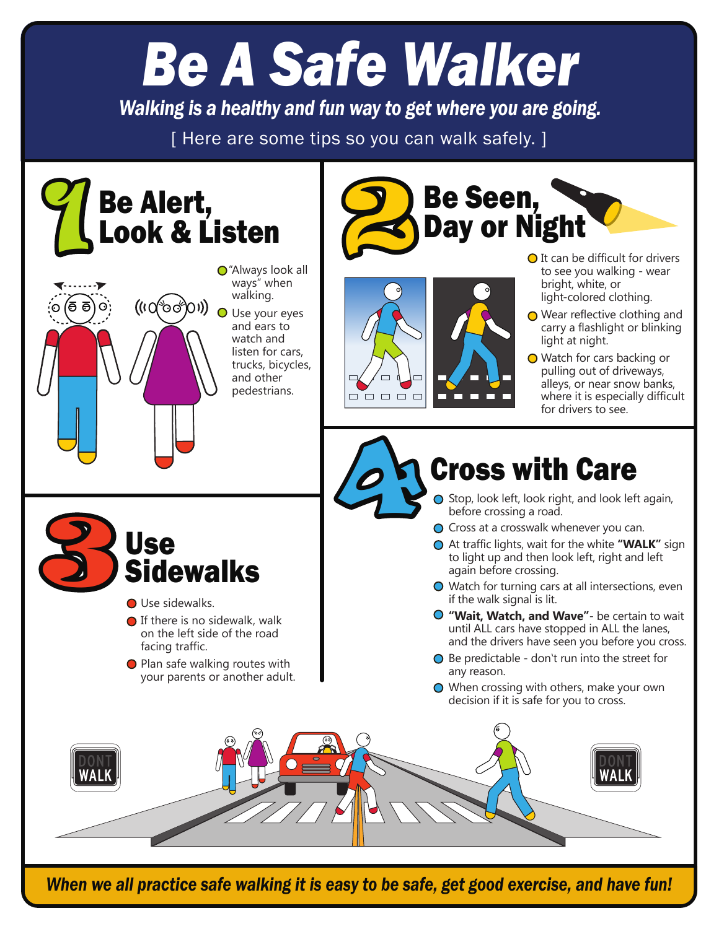# *Be A Safe Walker*

*Walking is a healthy and fun way to get where you are going.*

[ Here are some tips so you can walk safely. ]